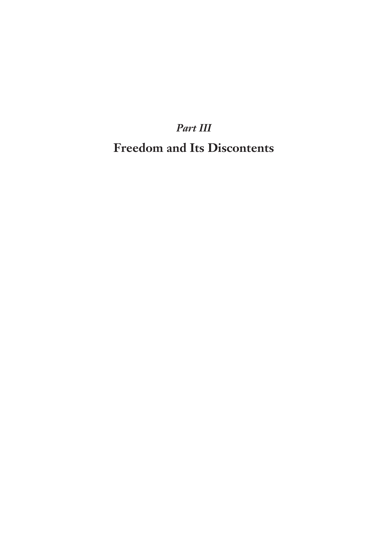## *Part III* **Freedom and Its Discontents**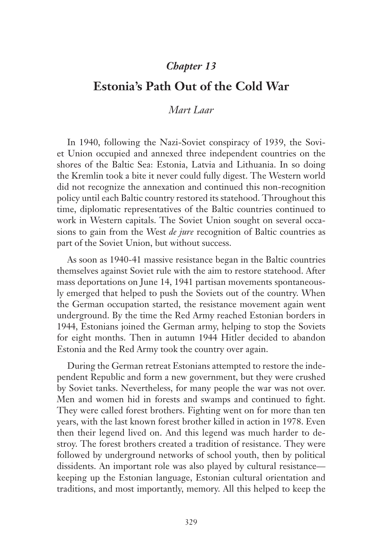## *Chapter 13*

## **Estonia's Path Out of the Cold War**

## *Mart Laar*

In 1940, following the Nazi-Soviet conspiracy of 1939, the Soviet Union occupied and annexed three independent countries on the shores of the Baltic Sea: Estonia, Latvia and Lithuania. In so doing the Kremlin took a bite it never could fully digest. The Western world did not recognize the annexation and continued this non-recognition policy until each Baltic country restored its statehood. Throughout this time, diplomatic representatives of the Baltic countries continued to work in Western capitals. The Soviet Union sought on several occasions to gain from the West *de jure* recognition of Baltic countries as part of the Soviet Union, but without success.

As soon as 1940-41 massive resistance began in the Baltic countries themselves against Soviet rule with the aim to restore statehood. After mass deportations on June 14, 1941 partisan movements spontaneously emerged that helped to push the Soviets out of the country. When the German occupation started, the resistance movement again went underground. By the time the Red Army reached Estonian borders in 1944, Estonians joined the German army, helping to stop the Soviets for eight months. Then in autumn 1944 Hitler decided to abandon Estonia and the Red Army took the country over again.

During the German retreat Estonians attempted to restore the independent Republic and form a new government, but they were crushed by Soviet tanks. Nevertheless, for many people the war was not over. Men and women hid in forests and swamps and continued to fight. They were called forest brothers. Fighting went on for more than ten years, with the last known forest brother killed in action in 1978. Even then their legend lived on. And this legend was much harder to destroy. The forest brothers created a tradition of resistance. They were followed by underground networks of school youth, then by political dissidents. An important role was also played by cultural resistance keeping up the Estonian language, Estonian cultural orientation and traditions, and most importantly, memory. All this helped to keep the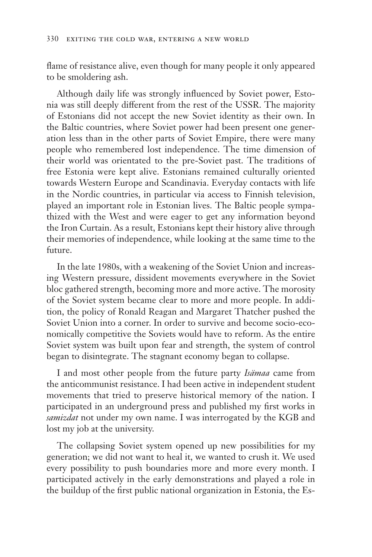flame of resistance alive, even though for many people it only appeared to be smoldering ash.

Although daily life was strongly influenced by Soviet power, Estonia was still deeply different from the rest of the USSR. The majority of Estonians did not accept the new Soviet identity as their own. In the Baltic countries, where Soviet power had been present one generation less than in the other parts of Soviet Empire, there were many people who remembered lost independence. The time dimension of their world was orientated to the pre-Soviet past. The traditions of free Estonia were kept alive. Estonians remained culturally oriented towards Western Europe and Scandinavia. Everyday contacts with life in the Nordic countries, in particular via access to Finnish television, played an important role in Estonian lives. The Baltic people sympathized with the West and were eager to get any information beyond the Iron Curtain. As a result, Estonians kept their history alive through their memories of independence, while looking at the same time to the future.

In the late 1980s, with a weakening of the Soviet Union and increasing Western pressure, dissident movements everywhere in the Soviet bloc gathered strength, becoming more and more active. The morosity of the Soviet system became clear to more and more people. In addition, the policy of Ronald Reagan and Margaret Thatcher pushed the Soviet Union into a corner. In order to survive and become socio-economically competitive the Soviets would have to reform. As the entire Soviet system was built upon fear and strength, the system of control began to disintegrate. The stagnant economy began to collapse.

I and most other people from the future party *Isämaa* came from the anticommunist resistance. I had been active in independent student movements that tried to preserve historical memory of the nation. I participated in an underground press and published my first works in *samizdat* not under my own name. I was interrogated by the KGB and lost my job at the university.

The collapsing Soviet system opened up new possibilities for my generation; we did not want to heal it, we wanted to crush it. We used every possibility to push boundaries more and more every month. I participated actively in the early demonstrations and played a role in the buildup of the first public national organization in Estonia, the Es-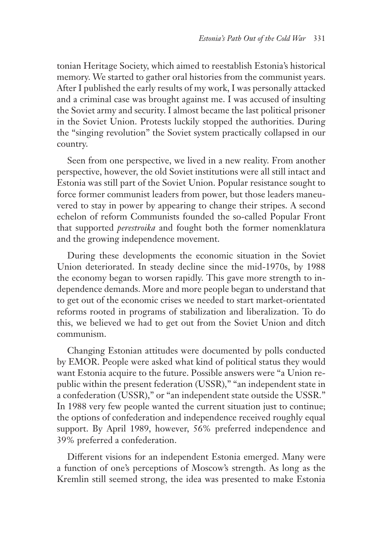tonian Heritage Society, which aimed to reestablish Estonia's historical memory. We started to gather oral histories from the communist years. After I published the early results of my work, I was personally attacked and a criminal case was brought against me. I was accused of insulting the Soviet army and security. I almost became the last political prisoner in the Soviet Union. Protests luckily stopped the authorities. During the "singing revolution" the Soviet system practically collapsed in our country.

Seen from one perspective, we lived in a new reality. From another perspective, however, the old Soviet institutions were all still intact and Estonia was still part of the Soviet Union. Popular resistance sought to force former communist leaders from power, but those leaders maneuvered to stay in power by appearing to change their stripes. A second echelon of reform Communists founded the so-called Popular Front that supported *perestroika* and fought both the former nomenklatura and the growing independence movement.

During these developments the economic situation in the Soviet Union deteriorated. In steady decline since the mid-1970s, by 1988 the economy began to worsen rapidly. This gave more strength to independence demands. More and more people began to understand that to get out of the economic crises we needed to start market-orientated reforms rooted in programs of stabilization and liberalization. To do this, we believed we had to get out from the Soviet Union and ditch communism.

Changing Estonian attitudes were documented by polls conducted by EMOR. People were asked what kind of political status they would want Estonia acquire to the future. Possible answers were "a Union republic within the present federation (USSR)," "an independent state in a confederation (USSR)," or "an independent state outside the USSR." In 1988 very few people wanted the current situation just to continue; the options of confederation and independence received roughly equal support. By April 1989, however, 56% preferred independence and 39% preferred a confederation.

Different visions for an independent Estonia emerged. Many were a function of one's perceptions of Moscow's strength. As long as the Kremlin still seemed strong, the idea was presented to make Estonia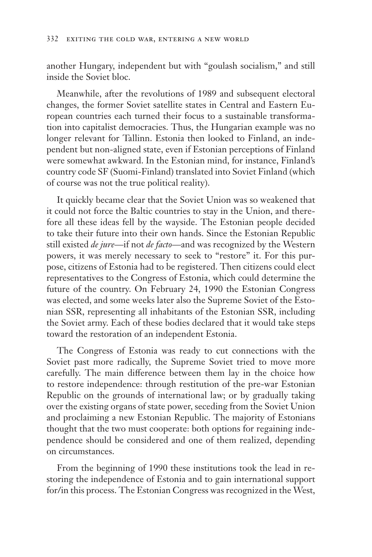another Hungary, independent but with "goulash socialism," and still inside the Soviet bloc.

Meanwhile, after the revolutions of 1989 and subsequent electoral changes, the former Soviet satellite states in Central and Eastern European countries each turned their focus to a sustainable transformation into capitalist democracies. Thus, the Hungarian example was no longer relevant for Tallinn. Estonia then looked to Finland, an independent but non-aligned state, even if Estonian perceptions of Finland were somewhat awkward. In the Estonian mind, for instance, Finland's country code SF (Suomi-Finland) translated into Soviet Finland (which of course was not the true political reality).

It quickly became clear that the Soviet Union was so weakened that it could not force the Baltic countries to stay in the Union, and therefore all these ideas fell by the wayside. The Estonian people decided to take their future into their own hands. Since the Estonian Republic still existed *de jure*—if not *de facto*—and was recognized by the Western powers, it was merely necessary to seek to "restore" it. For this purpose, citizens of Estonia had to be registered. Then citizens could elect representatives to the Congress of Estonia, which could determine the future of the country. On February 24, 1990 the Estonian Congress was elected, and some weeks later also the Supreme Soviet of the Estonian SSR, representing all inhabitants of the Estonian SSR, including the Soviet army. Each of these bodies declared that it would take steps toward the restoration of an independent Estonia.

The Congress of Estonia was ready to cut connections with the Soviet past more radically, the Supreme Soviet tried to move more carefully. The main difference between them lay in the choice how to restore independence: through restitution of the pre-war Estonian Republic on the grounds of international law; or by gradually taking over the existing organs of state power, seceding from the Soviet Union and proclaiming a new Estonian Republic. The majority of Estonians thought that the two must cooperate: both options for regaining independence should be considered and one of them realized, depending on circumstances.

From the beginning of 1990 these institutions took the lead in restoring the independence of Estonia and to gain international support for/in this process. The Estonian Congress was recognized in the West,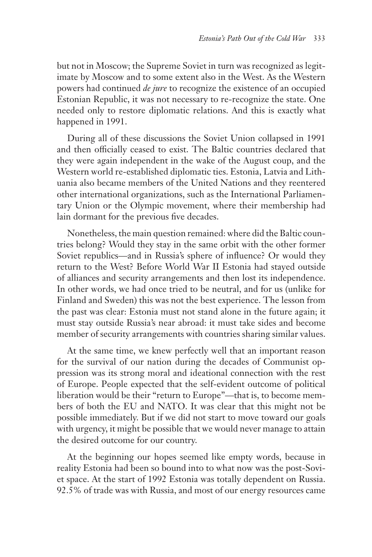but not in Moscow; the Supreme Soviet in turn was recognized as legitimate by Moscow and to some extent also in the West. As the Western powers had continued *de jure* to recognize the existence of an occupied Estonian Republic, it was not necessary to re-recognize the state. One needed only to restore diplomatic relations. And this is exactly what happened in 1991.

During all of these discussions the Soviet Union collapsed in 1991 and then officially ceased to exist. The Baltic countries declared that they were again independent in the wake of the August coup, and the Western world re-established diplomatic ties. Estonia, Latvia and Lithuania also became members of the United Nations and they reentered other international organizations, such as the International Parliamentary Union or the Olympic movement, where their membership had lain dormant for the previous five decades.

Nonetheless, the main question remained: where did the Baltic countries belong? Would they stay in the same orbit with the other former Soviet republics—and in Russia's sphere of influence? Or would they return to the West? Before World War II Estonia had stayed outside of alliances and security arrangements and then lost its independence. In other words, we had once tried to be neutral, and for us (unlike for Finland and Sweden) this was not the best experience. The lesson from the past was clear: Estonia must not stand alone in the future again; it must stay outside Russia's near abroad: it must take sides and become member of security arrangements with countries sharing similar values.

At the same time, we knew perfectly well that an important reason for the survival of our nation during the decades of Communist oppression was its strong moral and ideational connection with the rest of Europe. People expected that the self-evident outcome of political liberation would be their "return to Europe"—that is, to become members of both the EU and NATO. It was clear that this might not be possible immediately. But if we did not start to move toward our goals with urgency, it might be possible that we would never manage to attain the desired outcome for our country.

At the beginning our hopes seemed like empty words, because in reality Estonia had been so bound into to what now was the post-Soviet space. At the start of 1992 Estonia was totally dependent on Russia. 92.5% of trade was with Russia, and most of our energy resources came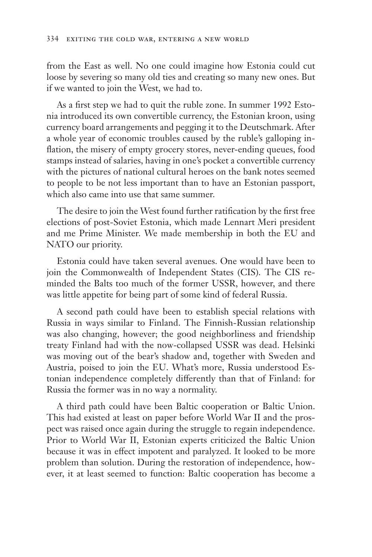from the East as well. No one could imagine how Estonia could cut loose by severing so many old ties and creating so many new ones. But if we wanted to join the West, we had to.

As a first step we had to quit the ruble zone. In summer 1992 Estonia introduced its own convertible currency, the Estonian kroon, using currency board arrangements and pegging it to the Deutschmark. After a whole year of economic troubles caused by the ruble's galloping inflation, the misery of empty grocery stores, never-ending queues, food stamps instead of salaries, having in one's pocket a convertible currency with the pictures of national cultural heroes on the bank notes seemed to people to be not less important than to have an Estonian passport, which also came into use that same summer.

The desire to join the West found further ratification by the first free elections of post-Soviet Estonia, which made Lennart Meri president and me Prime Minister. We made membership in both the EU and NATO our priority.

Estonia could have taken several avenues. One would have been to join the Commonwealth of Independent States (CIS). The CIS reminded the Balts too much of the former USSR, however, and there was little appetite for being part of some kind of federal Russia.

A second path could have been to establish special relations with Russia in ways similar to Finland. The Finnish-Russian relationship was also changing, however; the good neighborliness and friendship treaty Finland had with the now-collapsed USSR was dead. Helsinki was moving out of the bear's shadow and, together with Sweden and Austria, poised to join the EU. What's more, Russia understood Estonian independence completely differently than that of Finland: for Russia the former was in no way a normality.

A third path could have been Baltic cooperation or Baltic Union. This had existed at least on paper before World War II and the prospect was raised once again during the struggle to regain independence. Prior to World War II, Estonian experts criticized the Baltic Union because it was in effect impotent and paralyzed. It looked to be more problem than solution. During the restoration of independence, however, it at least seemed to function: Baltic cooperation has become a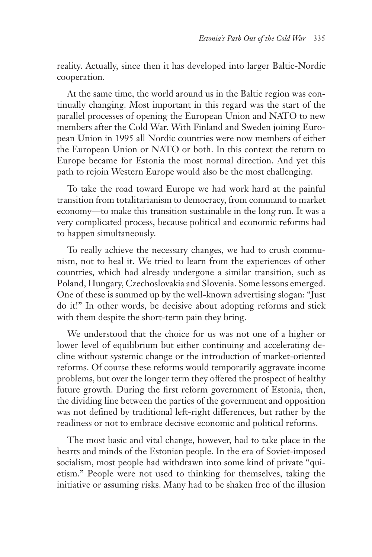reality. Actually, since then it has developed into larger Baltic-Nordic cooperation.

At the same time, the world around us in the Baltic region was continually changing. Most important in this regard was the start of the parallel processes of opening the European Union and NATO to new members after the Cold War. With Finland and Sweden joining European Union in 1995 all Nordic countries were now members of either the European Union or NATO or both. In this context the return to Europe became for Estonia the most normal direction. And yet this path to rejoin Western Europe would also be the most challenging.

To take the road toward Europe we had work hard at the painful transition from totalitarianism to democracy, from command to market economy—to make this transition sustainable in the long run. It was a very complicated process, because political and economic reforms had to happen simultaneously.

To really achieve the necessary changes, we had to crush communism, not to heal it. We tried to learn from the experiences of other countries, which had already undergone a similar transition, such as Poland, Hungary, Czechoslovakia and Slovenia. Some lessons emerged. One of these is summed up by the well-known advertising slogan: "Just do it!" In other words, be decisive about adopting reforms and stick with them despite the short-term pain they bring.

We understood that the choice for us was not one of a higher or lower level of equilibrium but either continuing and accelerating decline without systemic change or the introduction of market-oriented reforms. Of course these reforms would temporarily aggravate income problems, but over the longer term they offered the prospect of healthy future growth. During the first reform government of Estonia, then, the dividing line between the parties of the government and opposition was not defined by traditional left-right differences, but rather by the readiness or not to embrace decisive economic and political reforms.

The most basic and vital change, however, had to take place in the hearts and minds of the Estonian people. In the era of Soviet-imposed socialism, most people had withdrawn into some kind of private "quietism." People were not used to thinking for themselves, taking the initiative or assuming risks. Many had to be shaken free of the illusion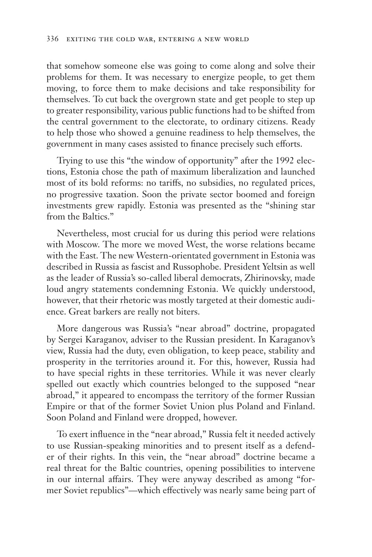that somehow someone else was going to come along and solve their problems for them. It was necessary to energize people, to get them moving, to force them to make decisions and take responsibility for themselves. To cut back the overgrown state and get people to step up to greater responsibility, various public functions had to be shifted from the central government to the electorate, to ordinary citizens. Ready to help those who showed a genuine readiness to help themselves, the government in many cases assisted to finance precisely such efforts.

Trying to use this "the window of opportunity" after the 1992 elections, Estonia chose the path of maximum liberalization and launched most of its bold reforms: no tariffs, no subsidies, no regulated prices, no progressive taxation. Soon the private sector boomed and foreign investments grew rapidly. Estonia was presented as the "shining star from the Baltics."

Nevertheless, most crucial for us during this period were relations with Moscow. The more we moved West, the worse relations became with the East. The new Western-orientated government in Estonia was described in Russia as fascist and Russophobe. President Yeltsin as well as the leader of Russia's so-called liberal democrats, Zhirinovsky, made loud angry statements condemning Estonia. We quickly understood, however, that their rhetoric was mostly targeted at their domestic audience. Great barkers are really not biters.

More dangerous was Russia's "near abroad" doctrine, propagated by Sergei Karaganov, adviser to the Russian president. In Karaganov's view, Russia had the duty, even obligation, to keep peace, stability and prosperity in the territories around it. For this, however, Russia had to have special rights in these territories. While it was never clearly spelled out exactly which countries belonged to the supposed "near abroad," it appeared to encompass the territory of the former Russian Empire or that of the former Soviet Union plus Poland and Finland. Soon Poland and Finland were dropped, however.

To exert influence in the "near abroad," Russia felt it needed actively to use Russian-speaking minorities and to present itself as a defender of their rights. In this vein, the "near abroad" doctrine became a real threat for the Baltic countries, opening possibilities to intervene in our internal affairs. They were anyway described as among "former Soviet republics"—which effectively was nearly same being part of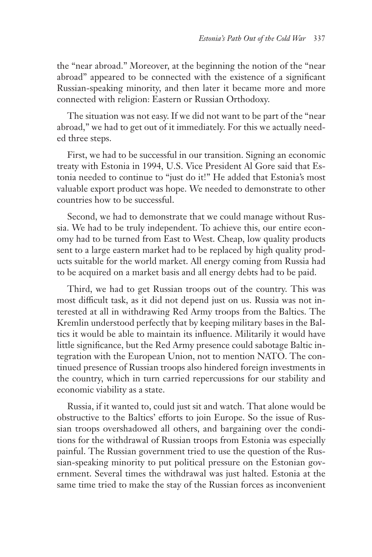the "near abroad." Moreover, at the beginning the notion of the "near abroad" appeared to be connected with the existence of a significant Russian-speaking minority, and then later it became more and more connected with religion: Eastern or Russian Orthodoxy.

The situation was not easy. If we did not want to be part of the "near abroad," we had to get out of it immediately. For this we actually needed three steps.

First, we had to be successful in our transition. Signing an economic treaty with Estonia in 1994, U.S. Vice President Al Gore said that Estonia needed to continue to "just do it!" He added that Estonia's most valuable export product was hope. We needed to demonstrate to other countries how to be successful.

Second, we had to demonstrate that we could manage without Russia. We had to be truly independent. To achieve this, our entire economy had to be turned from East to West. Cheap, low quality products sent to a large eastern market had to be replaced by high quality products suitable for the world market. All energy coming from Russia had to be acquired on a market basis and all energy debts had to be paid.

Third, we had to get Russian troops out of the country. This was most difficult task, as it did not depend just on us. Russia was not interested at all in withdrawing Red Army troops from the Baltics. The Kremlin understood perfectly that by keeping military bases in the Baltics it would be able to maintain its influence. Militarily it would have little significance, but the Red Army presence could sabotage Baltic integration with the European Union, not to mention NATO. The continued presence of Russian troops also hindered foreign investments in the country, which in turn carried repercussions for our stability and economic viability as a state.

Russia, if it wanted to, could just sit and watch. That alone would be obstructive to the Baltics' efforts to join Europe. So the issue of Russian troops overshadowed all others, and bargaining over the conditions for the withdrawal of Russian troops from Estonia was especially painful. The Russian government tried to use the question of the Russian-speaking minority to put political pressure on the Estonian government. Several times the withdrawal was just halted. Estonia at the same time tried to make the stay of the Russian forces as inconvenient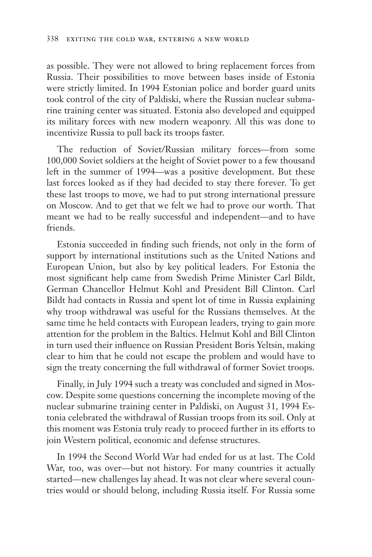as possible. They were not allowed to bring replacement forces from Russia. Their possibilities to move between bases inside of Estonia were strictly limited. In 1994 Estonian police and border guard units took control of the city of Paldiski, where the Russian nuclear submarine training center was situated. Estonia also developed and equipped its military forces with new modern weaponry. All this was done to incentivize Russia to pull back its troops faster.

The reduction of Soviet/Russian military forces—from some 100,000 Soviet soldiers at the height of Soviet power to a few thousand left in the summer of 1994—was a positive development. But these last forces looked as if they had decided to stay there forever. To get these last troops to move, we had to put strong international pressure on Moscow. And to get that we felt we had to prove our worth. That meant we had to be really successful and independent—and to have friends.

Estonia succeeded in finding such friends, not only in the form of support by international institutions such as the United Nations and European Union, but also by key political leaders. For Estonia the most significant help came from Swedish Prime Minister Carl Bildt, German Chancellor Helmut Kohl and President Bill Clinton. Carl Bildt had contacts in Russia and spent lot of time in Russia explaining why troop withdrawal was useful for the Russians themselves. At the same time he held contacts with European leaders, trying to gain more attention for the problem in the Baltics. Helmut Kohl and Bill Clinton in turn used their influence on Russian President Boris Yeltsin, making clear to him that he could not escape the problem and would have to sign the treaty concerning the full withdrawal of former Soviet troops.

Finally, in July 1994 such a treaty was concluded and signed in Moscow. Despite some questions concerning the incomplete moving of the nuclear submarine training center in Paldiski, on August 31, 1994 Estonia celebrated the withdrawal of Russian troops from its soil. Only at this moment was Estonia truly ready to proceed further in its efforts to join Western political, economic and defense structures.

In 1994 the Second World War had ended for us at last. The Cold War, too, was over—but not history. For many countries it actually started—new challenges lay ahead. It was not clear where several countries would or should belong, including Russia itself. For Russia some